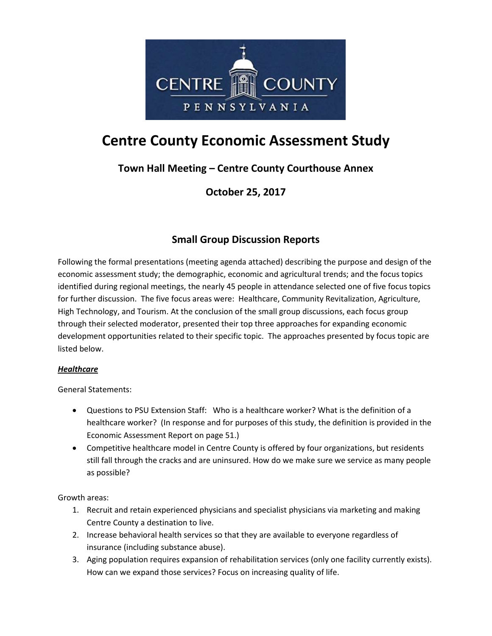

# **Centre County Economic Assessment Study**

## **Town Hall Meeting – Centre County Courthouse Annex**

**October 25, 2017**

### **Small Group Discussion Reports**

Following the formal presentations (meeting agenda attached) describing the purpose and design of the economic assessment study; the demographic, economic and agricultural trends; and the focus topics identified during regional meetings, the nearly 45 people in attendance selected one of five focus topics for further discussion. The five focus areas were: Healthcare, Community Revitalization, Agriculture, High Technology, and Tourism. At the conclusion of the small group discussions, each focus group through their selected moderator, presented their top three approaches for expanding economic development opportunities related to their specific topic. The approaches presented by focus topic are listed below.

#### *Healthcare*

General Statements:

- Questions to PSU Extension Staff: Who is a healthcare worker? What is the definition of a healthcare worker? (In response and for purposes of this study, the definition is provided in the Economic Assessment Report on page 51.)
- Competitive healthcare model in Centre County is offered by four organizations, but residents still fall through the cracks and are uninsured. How do we make sure we service as many people as possible?

Growth areas:

- 1. Recruit and retain experienced physicians and specialist physicians via marketing and making Centre County a destination to live.
- 2. Increase behavioral health services so that they are available to everyone regardless of insurance (including substance abuse).
- 3. Aging population requires expansion of rehabilitation services (only one facility currently exists). How can we expand those services? Focus on increasing quality of life.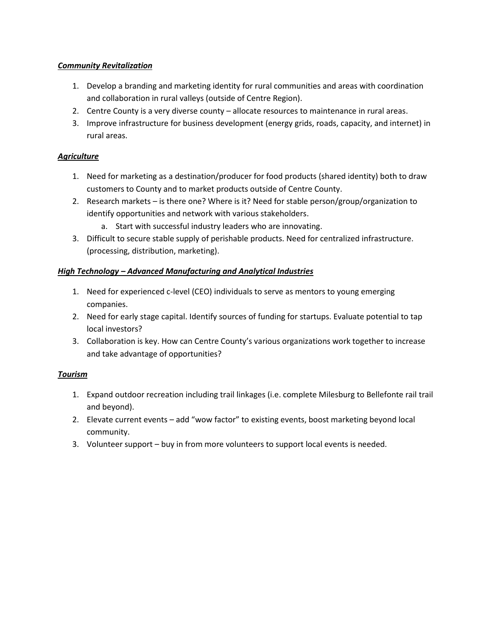#### *Community Revitalization*

- 1. Develop a branding and marketing identity for rural communities and areas with coordination and collaboration in rural valleys (outside of Centre Region).
- 2. Centre County is a very diverse county allocate resources to maintenance in rural areas.
- 3. Improve infrastructure for business development (energy grids, roads, capacity, and internet) in rural areas.

#### *Agriculture*

- 1. Need for marketing as a destination/producer for food products (shared identity) both to draw customers to County and to market products outside of Centre County.
- 2. Research markets is there one? Where is it? Need for stable person/group/organization to identify opportunities and network with various stakeholders.
	- a. Start with successful industry leaders who are innovating.
- 3. Difficult to secure stable supply of perishable products. Need for centralized infrastructure. (processing, distribution, marketing).

#### *High Technology – Advanced Manufacturing and Analytical Industries*

- 1. Need for experienced c-level (CEO) individuals to serve as mentors to young emerging companies.
- 2. Need for early stage capital. Identify sources of funding for startups. Evaluate potential to tap local investors?
- 3. Collaboration is key. How can Centre County's various organizations work together to increase and take advantage of opportunities?

#### *Tourism*

- 1. Expand outdoor recreation including trail linkages (i.e. complete Milesburg to Bellefonte rail trail and beyond).
- 2. Elevate current events add "wow factor" to existing events, boost marketing beyond local community.
- 3. Volunteer support buy in from more volunteers to support local events is needed.